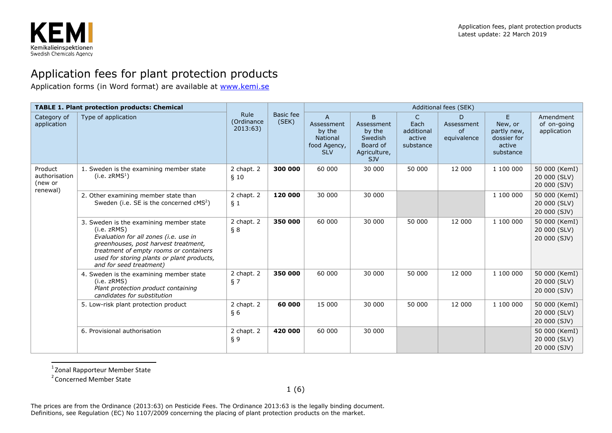

## Application fees for plant protection products

Application forms (in Word format) are available at [www.kemi.se](http://www.kemi.se/)

| <b>TABLE 1. Plant protection products: Chemical</b> |                                                                                                                                                                                                                                                            |                               |                    | Additional fees (SEK)                                                      |                                                                                |                                                |                                      |                                                                   |                                               |  |
|-----------------------------------------------------|------------------------------------------------------------------------------------------------------------------------------------------------------------------------------------------------------------------------------------------------------------|-------------------------------|--------------------|----------------------------------------------------------------------------|--------------------------------------------------------------------------------|------------------------------------------------|--------------------------------------|-------------------------------------------------------------------|-----------------------------------------------|--|
| Category of<br>application                          | Type of application                                                                                                                                                                                                                                        | Rule<br>(Ordinance<br>2013:63 | Basic fee<br>(SEK) | A<br>Assessment<br>by the<br><b>National</b><br>food Agency,<br><b>SLV</b> | B<br>Assessment<br>by the<br>Swedish<br>Board of<br>Agriculture,<br><b>SJV</b> | C<br>Each<br>additional<br>active<br>substance | D<br>Assessment<br>of<br>equivalence | E<br>New, or<br>partly new,<br>dossier for<br>active<br>substance | Amendment<br>of on-going<br>application       |  |
| Product<br>authorisation<br>(new or<br>renewal)     | 1. Sweden is the examining member state<br>(i.e. $zRMS1$ )                                                                                                                                                                                                 | 2 chapt. 2<br>\$10            | 300 000            | 60 000                                                                     | 30 000                                                                         | 50 000                                         | 12 000                               | 1 100 000                                                         | 50 000 (KemI)<br>20 000 (SLV)<br>20 000 (SJV) |  |
|                                                     | 2. Other examining member state than<br>Sweden (i.e. SE is the concerned cMS <sup>2</sup> )                                                                                                                                                                | 2 chapt. 2<br>$\S_1$          | 120 000            | 30 000                                                                     | 30 000                                                                         |                                                |                                      | 1 100 000                                                         | 50 000 (KemI)<br>20 000 (SLV)<br>20 000 (SJV) |  |
|                                                     | 3. Sweden is the examining member state<br>(i.e. zRMS)<br>Evaluation for all zones (i.e. use in<br>greenhouses, post harvest treatment,<br>treatment of empty rooms or containers<br>used for storing plants or plant products,<br>and for seed treatment) | 2 chapt. 2<br>$\S 8$          | 350 000            | 60 000                                                                     | 30 000                                                                         | 50 000                                         | 12 000                               | 1 100 000                                                         | 50 000 (KemI)<br>20 000 (SLV)<br>20 000 (SJV) |  |
|                                                     | 4. Sweden is the examining member state<br>(i.e. zRMS)<br>Plant protection product containing<br>candidates for substitution                                                                                                                               | 2 chapt. 2<br>§ 7             | 350 000            | 60 000                                                                     | 30 000                                                                         | 50 000                                         | 12 000                               | 1 100 000                                                         | 50 000 (KemI)<br>20 000 (SLV)<br>20 000 (SJV) |  |
|                                                     | 5. Low-risk plant protection product                                                                                                                                                                                                                       | 2 chapt. 2<br>§ 6             | 60 000             | 15 000                                                                     | 30 000                                                                         | 50 000                                         | 12 000                               | 1 100 000                                                         | 50 000 (KemI)<br>20 000 (SLV)<br>20 000 (SJV) |  |
|                                                     | 6. Provisional authorisation                                                                                                                                                                                                                               | 2 chapt. 2<br>§ 9             | 420 000            | 60 000                                                                     | 30 000                                                                         |                                                |                                      |                                                                   | 50 000 (KemI)<br>20 000 (SLV)<br>20 000 (SJV) |  |

1 Zonal Rapporteur Member State

2 Concerned Member State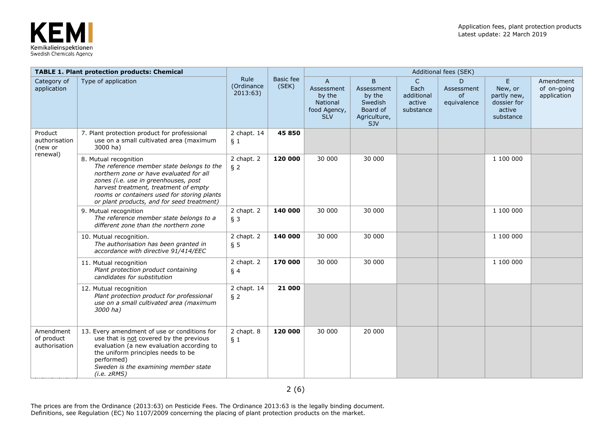

|                                                 | <b>TABLE 1. Plant protection products: Chemical</b>                                                                                                                                                                                                                                         |                                |                           |                                                                                |                                                                                |                                                           | Additional fees (SEK)                       |                                                                    |                                         |
|-------------------------------------------------|---------------------------------------------------------------------------------------------------------------------------------------------------------------------------------------------------------------------------------------------------------------------------------------------|--------------------------------|---------------------------|--------------------------------------------------------------------------------|--------------------------------------------------------------------------------|-----------------------------------------------------------|---------------------------------------------|--------------------------------------------------------------------|-----------------------------------------|
| Category of<br>application                      | Type of application                                                                                                                                                                                                                                                                         | Rule<br>(Ordinance<br>2013:63) | <b>Basic fee</b><br>(SEK) | $\mathsf{A}$<br>Assessment<br>by the<br>National<br>food Agency,<br><b>SLV</b> | B<br>Assessment<br>by the<br>Swedish<br>Board of<br>Agriculture,<br><b>SJV</b> | $\mathsf{C}$<br>Each<br>additional<br>active<br>substance | D<br>Assessment<br><b>of</b><br>equivalence | E.<br>New, or<br>partly new,<br>dossier for<br>active<br>substance | Amendment<br>of on-going<br>application |
| Product<br>authorisation<br>(new or<br>renewal) | 7. Plant protection product for professional<br>use on a small cultivated area (maximum<br>3000 ha)                                                                                                                                                                                         | 2 chapt. 14<br>§ 1             | 45 850                    |                                                                                |                                                                                |                                                           |                                             |                                                                    |                                         |
|                                                 | 8. Mutual recognition<br>The reference member state belongs to the<br>northern zone or have evaluated for all<br>zones (i.e. use in greenhouses, post<br>harvest treatment, treatment of empty<br>rooms or containers used for storing plants<br>or plant products, and for seed treatment) | 2 chapt. 2<br>§ 2              | 120 000                   | 30 000                                                                         | 30 000                                                                         |                                                           |                                             | 1 100 000                                                          |                                         |
|                                                 | 9. Mutual recognition<br>The reference member state belongs to a<br>different zone than the northern zone                                                                                                                                                                                   | 2 chapt. 2<br>$§$ 3            | 140 000                   | 30 000                                                                         | 30 000                                                                         |                                                           |                                             | 1 100 000                                                          |                                         |
|                                                 | 10. Mutual recognition.<br>The authorisation has been granted in<br>accordance with directive 91/414/EEC                                                                                                                                                                                    | 2 chapt. 2<br>$\S$ 5           | 140 000                   | 30 000                                                                         | 30 000                                                                         |                                                           |                                             | 1 100 000                                                          |                                         |
|                                                 | 11. Mutual recognition<br>Plant protection product containing<br>candidates for substitution                                                                                                                                                                                                | 2 chapt. 2<br>§ 4              | 170 000                   | 30 000                                                                         | 30 000                                                                         |                                                           |                                             | 1 100 000                                                          |                                         |
|                                                 | 12. Mutual recognition<br>Plant protection product for professional<br>use on a small cultivated area (maximum<br>3000 ha)                                                                                                                                                                  | 2 chapt. 14<br>$§$ 2           | 21 000                    |                                                                                |                                                                                |                                                           |                                             |                                                                    |                                         |
| Amendment<br>of product<br>authorisation        | 13. Every amendment of use or conditions for<br>use that is not covered by the previous<br>evaluation (a new evaluation according to<br>the uniform principles needs to be<br>performed)<br>Sweden is the examining member state<br>(i.e. zRMS)                                             | 2 chapt. 8<br>§ 1              | 120 000                   | 30 000                                                                         | 20 000                                                                         |                                                           |                                             |                                                                    |                                         |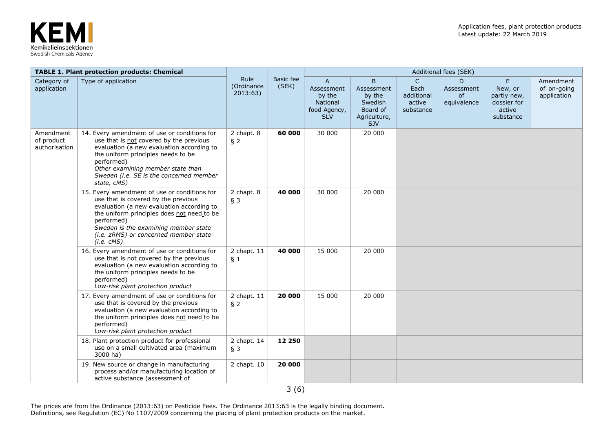

|                                          | <b>TABLE 1. Plant protection products: Chemical</b>                                                                                                                                                                                                                                         |                                |                    | Additional fees (SEK)                                                                   |                                                                         |                                                           |                                             |                                                                   |                                         |
|------------------------------------------|---------------------------------------------------------------------------------------------------------------------------------------------------------------------------------------------------------------------------------------------------------------------------------------------|--------------------------------|--------------------|-----------------------------------------------------------------------------------------|-------------------------------------------------------------------------|-----------------------------------------------------------|---------------------------------------------|-------------------------------------------------------------------|-----------------------------------------|
| Category of<br>application               | Type of application                                                                                                                                                                                                                                                                         | Rule<br>(Ordinance<br>2013:63) | Basic fee<br>(SEK) | $\overline{A}$<br>Assessment<br>by the<br><b>National</b><br>food Agency,<br><b>SLV</b> | B<br>Assessment<br>by the<br>Swedish<br>Board of<br>Agriculture,<br>SJV | $\mathsf{C}$<br>Each<br>additional<br>active<br>substance | D<br>Assessment<br><b>of</b><br>equivalence | E<br>New, or<br>partly new,<br>dossier for<br>active<br>substance | Amendment<br>of on-going<br>application |
| Amendment<br>of product<br>authorisation | 14. Every amendment of use or conditions for<br>use that is not covered by the previous<br>evaluation (a new evaluation according to<br>the uniform principles needs to be<br>performed)<br>Other examining member state than<br>Sweden (i.e. SE is the concerned member<br>state, cMS)     | 2 chapt. 8<br>§ 2              | 60 000             | 30 000                                                                                  | 20 000                                                                  |                                                           |                                             |                                                                   |                                         |
|                                          | 15. Every amendment of use or conditions for<br>use that is covered by the previous<br>evaluation (a new evaluation according to<br>the uniform principles does not need to be<br>performed)<br>Sweden is the examining member state<br>(i.e. zRMS) or concerned member state<br>(i.e. cMS) | 2 chapt. 8<br>$§$ 3            | 40 000             | 30 000                                                                                  | 20 000                                                                  |                                                           |                                             |                                                                   |                                         |
|                                          | 16. Every amendment of use or conditions for<br>use that is not covered by the previous<br>evaluation (a new evaluation according to<br>the uniform principles needs to be<br>performed)<br>Low-risk plant protection product                                                               | 2 chapt. 11<br>§ 1             | 40 000             | 15 000                                                                                  | 20 000                                                                  |                                                           |                                             |                                                                   |                                         |
|                                          | 17. Every amendment of use or conditions for<br>use that is covered by the previous<br>evaluation (a new evaluation according to<br>the uniform principles does not need to be<br>performed)<br>Low-risk plant protection product                                                           | 2 chapt. 11<br>§ 2             | 20 000             | 15 000                                                                                  | 20 000                                                                  |                                                           |                                             |                                                                   |                                         |
|                                          | 18. Plant protection product for professional<br>use on a small cultivated area (maximum<br>3000 ha)                                                                                                                                                                                        | 2 chapt. 14<br>$§$ 3           | 12 250             |                                                                                         |                                                                         |                                                           |                                             |                                                                   |                                         |
|                                          | 19. New source or change in manufacturing<br>process and/or manufacturing location of<br>active substance (assessment of                                                                                                                                                                    | 2 chapt. 10                    | 20 000             |                                                                                         |                                                                         |                                                           |                                             |                                                                   |                                         |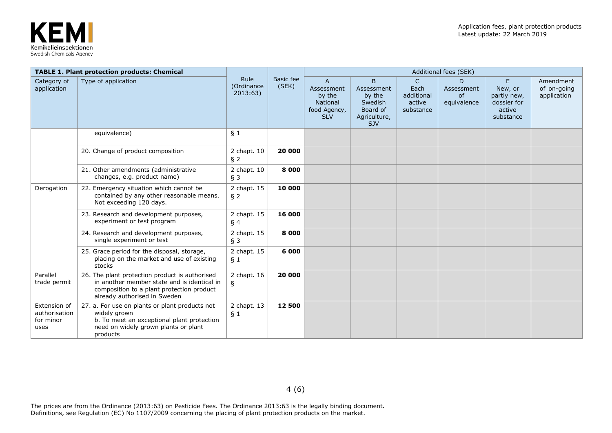

|                                                    | <b>TABLE 1. Plant protection products: Chemical</b>                                                                                                                        | Rule<br>(Ordinance<br>2013:63) | <b>Basic fee</b><br>(SEK) | <b>Additional fees (SEK)</b>                                                          |                                                                                |                                                           |                                             |                                                                    |                                         |  |  |
|----------------------------------------------------|----------------------------------------------------------------------------------------------------------------------------------------------------------------------------|--------------------------------|---------------------------|---------------------------------------------------------------------------------------|--------------------------------------------------------------------------------|-----------------------------------------------------------|---------------------------------------------|--------------------------------------------------------------------|-----------------------------------------|--|--|
| Category of<br>application                         | Type of application                                                                                                                                                        |                                |                           | $\mathsf{A}$<br>Assessment<br>by the<br><b>National</b><br>food Agency,<br><b>SLV</b> | B<br>Assessment<br>by the<br>Swedish<br>Board of<br>Agriculture,<br><b>SJV</b> | $\mathsf{C}$<br>Each<br>additional<br>active<br>substance | D<br>Assessment<br><b>of</b><br>equivalence | E.<br>New, or<br>partly new,<br>dossier for<br>active<br>substance | Amendment<br>of on-going<br>application |  |  |
|                                                    | equivalence)                                                                                                                                                               | $\S_1$                         |                           |                                                                                       |                                                                                |                                                           |                                             |                                                                    |                                         |  |  |
|                                                    | 20. Change of product composition                                                                                                                                          | 2 chapt. 10<br>$§$ 2           | 20 000                    |                                                                                       |                                                                                |                                                           |                                             |                                                                    |                                         |  |  |
|                                                    | 21. Other amendments (administrative<br>changes, e.g. product name)                                                                                                        | 2 chapt. 10<br>$§$ 3           | 8 0 0 0                   |                                                                                       |                                                                                |                                                           |                                             |                                                                    |                                         |  |  |
| Derogation                                         | 22. Emergency situation which cannot be<br>contained by any other reasonable means.<br>Not exceeding 120 days.                                                             | 2 chapt. 15<br>$§$ 2           | 10 000                    |                                                                                       |                                                                                |                                                           |                                             |                                                                    |                                         |  |  |
|                                                    | 23. Research and development purposes,<br>experiment or test program                                                                                                       | 2 chapt. 15<br>§ 4             | 16 000                    |                                                                                       |                                                                                |                                                           |                                             |                                                                    |                                         |  |  |
|                                                    | 24. Research and development purposes,<br>single experiment or test                                                                                                        | 2 chapt. 15<br>$§$ 3           | 8 0 0 0                   |                                                                                       |                                                                                |                                                           |                                             |                                                                    |                                         |  |  |
|                                                    | 25. Grace period for the disposal, storage,<br>placing on the market and use of existing<br>stocks                                                                         | 2 chapt. 15<br>§ 1             | 6 000                     |                                                                                       |                                                                                |                                                           |                                             |                                                                    |                                         |  |  |
| Parallel<br>trade permit                           | 26. The plant protection product is authorised<br>in another member state and is identical in<br>composition to a plant protection product<br>already authorised in Sweden | 2 chapt. 16<br>$\S$            | 20 000                    |                                                                                       |                                                                                |                                                           |                                             |                                                                    |                                         |  |  |
| Extension of<br>authorisation<br>for minor<br>uses | 27. a. For use on plants or plant products not<br>widely grown<br>b. To meet an exceptional plant protection<br>need on widely grown plants or plant<br>products           | 2 chapt. 13<br>$\S_1$          | 12 500                    |                                                                                       |                                                                                |                                                           |                                             |                                                                    |                                         |  |  |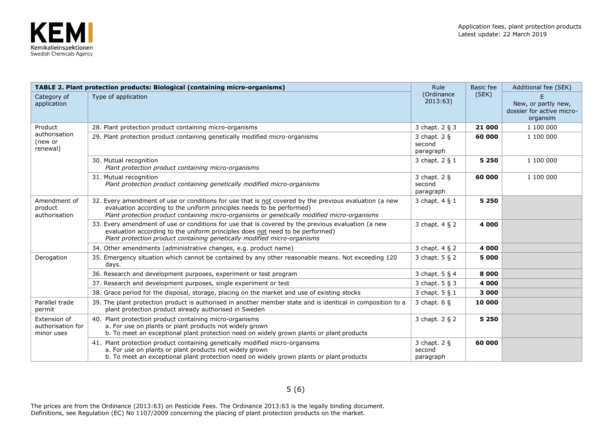

|                                                 | <b>TABLE 2. Plant protection products: Biological (containing micro-organisms)</b>                                                                                                                                                                                             | <b>Rule</b>                             | <b>Basic</b> fee | Additional fee (SEK)                                         |
|-------------------------------------------------|--------------------------------------------------------------------------------------------------------------------------------------------------------------------------------------------------------------------------------------------------------------------------------|-----------------------------------------|------------------|--------------------------------------------------------------|
| Category of<br>application                      | Type of application                                                                                                                                                                                                                                                            | (Ordinance<br>2013:63                   | (SEK)            | New, or partly new,<br>dossier for active micro-<br>organsim |
| Product                                         | 28. Plant protection product containing micro-organisms                                                                                                                                                                                                                        | 3 chapt. 2 § 3                          | 21 000           | 1 100 000                                                    |
| authorisation<br>(new or<br>renewal)            | 29. Plant protection product containing genetically modified micro-organisms                                                                                                                                                                                                   | 3 chapt. $2 \xi$<br>second<br>paragraph | 60 000           | 1 100 000                                                    |
|                                                 | 30. Mutual recognition<br>Plant protection product containing micro-organisms                                                                                                                                                                                                  | 3 chapt. 2 § 1                          | 5 2 5 0          | 1 100 000                                                    |
|                                                 | 31. Mutual recognition<br>Plant protection product containing genetically modified micro-organisms                                                                                                                                                                             | 3 chapt. $2 \xi$<br>second<br>paragraph | 60 000           | 1 100 000                                                    |
| Amendment of<br>product<br>authorisation        | 32. Every amendment of use or conditions for use that is not covered by the previous evaluation (a new<br>evaluation according to the uniform principles needs to be performed)<br>Plant protection product containing micro-organisms or genetically modified micro-organisms | 3 chapt. 4 § 1                          | 5 2 5 0          |                                                              |
|                                                 | 33. Every amendment of use or conditions for use that is covered by the previous evaluation (a new<br>evaluation according to the uniform principles does not need to be performed)<br>Plant protection product containing genetically modified micro-organisms                | 3 chapt. 4 § 2                          | 4 000            |                                                              |
|                                                 | 34. Other amendments (administrative changes, e.g. product name)                                                                                                                                                                                                               | 3 chapt. 4 § 2                          | 4 000            |                                                              |
| Derogation                                      | 35. Emergency situation which cannot be contained by any other reasonable means. Not exceeding 120<br>days.                                                                                                                                                                    | 3 chapt. 5 § 2                          | 5 000            |                                                              |
|                                                 | 36. Research and development purposes, experiment or test program                                                                                                                                                                                                              | 3 chapt. 5 § 4                          | 8 0 0 0          |                                                              |
|                                                 | 37. Research and development purposes, single experiment or test                                                                                                                                                                                                               | 3 chapt. 5 § 3                          | 4 000            |                                                              |
|                                                 | 38. Grace period for the disposal, storage, placing on the market and use of existing stocks                                                                                                                                                                                   | 3 chapt. 5 § 1                          | 3 000            |                                                              |
| Parallel trade<br>permit                        | 39. The plant protection product is authorised in another member state and is identical in composition to a<br>plant protection product already authorised in Sweden                                                                                                           | 3 chapt. $6\$                           | 10 000           |                                                              |
| Extension of<br>authorisation for<br>minor uses | 40. Plant protection product containing micro-organisms<br>a. For use on plants or plant products not widely grown<br>b. To meet an exceptional plant protection need on widely grown plants or plant products                                                                 | 3 chapt. 2 § 2                          | 5 2 5 0          |                                                              |
|                                                 | 41. Plant protection product containing genetically modified micro-organisms<br>a. For use on plants or plant products not widely grown<br>b. To meet an exceptional plant protection need on widely grown plants or plant products                                            | 3 chapt. $2 \xi$<br>second<br>paragraph | 60 000           |                                                              |